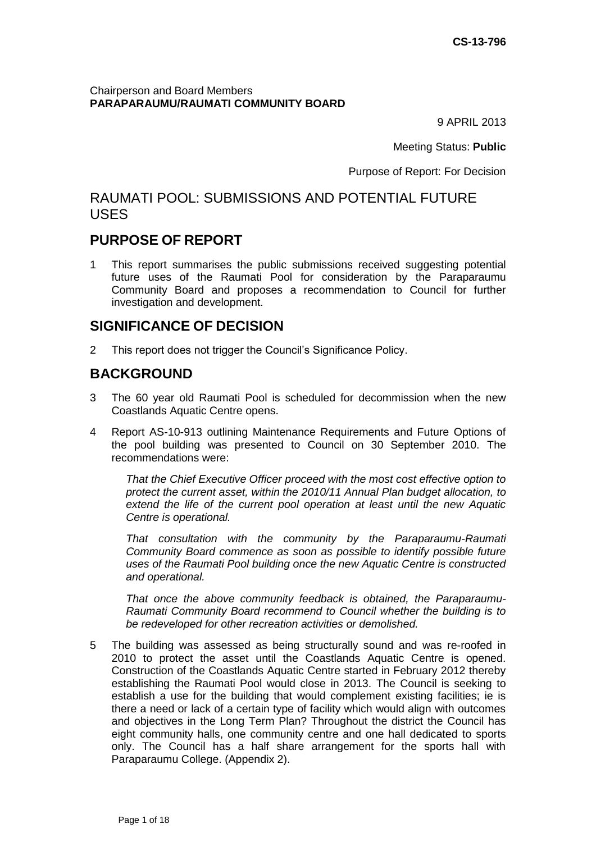# Chairperson and Board Members **PARAPARAUMU/RAUMATI COMMUNITY BOARD**

9 APRIL 2013

Meeting Status: **Public**

Purpose of Report: For Decision

# RAUMATI POOL: SUBMISSIONS AND POTENTIAL FUTURE USES

# **PURPOSE OF REPORT**

1 This report summarises the public submissions received suggesting potential future uses of the Raumati Pool for consideration by the Paraparaumu Community Board and proposes a recommendation to Council for further investigation and development.

# **SIGNIFICANCE OF DECISION**

2 This report does not trigger the Council's Significance Policy.

# **BACKGROUND**

- 3 The 60 year old Raumati Pool is scheduled for decommission when the new Coastlands Aquatic Centre opens.
- 4 Report AS-10-913 outlining Maintenance Requirements and Future Options of the pool building was presented to Council on 30 September 2010. The recommendations were:

*That the Chief Executive Officer proceed with the most cost effective option to protect the current asset, within the 2010/11 Annual Plan budget allocation, to extend the life of the current pool operation at least until the new Aquatic Centre is operational.* 

*That consultation with the community by the Paraparaumu-Raumati Community Board commence as soon as possible to identify possible future uses of the Raumati Pool building once the new Aquatic Centre is constructed and operational.* 

*That once the above community feedback is obtained, the Paraparaumu-Raumati Community Board recommend to Council whether the building is to be redeveloped for other recreation activities or demolished.* 

5 The building was assessed as being structurally sound and was re-roofed in 2010 to protect the asset until the Coastlands Aquatic Centre is opened. Construction of the Coastlands Aquatic Centre started in February 2012 thereby establishing the Raumati Pool would close in 2013. The Council is seeking to establish a use for the building that would complement existing facilities; ie is there a need or lack of a certain type of facility which would align with outcomes and objectives in the Long Term Plan? Throughout the district the Council has eight community halls, one community centre and one hall dedicated to sports only. The Council has a half share arrangement for the sports hall with Paraparaumu College. (Appendix 2).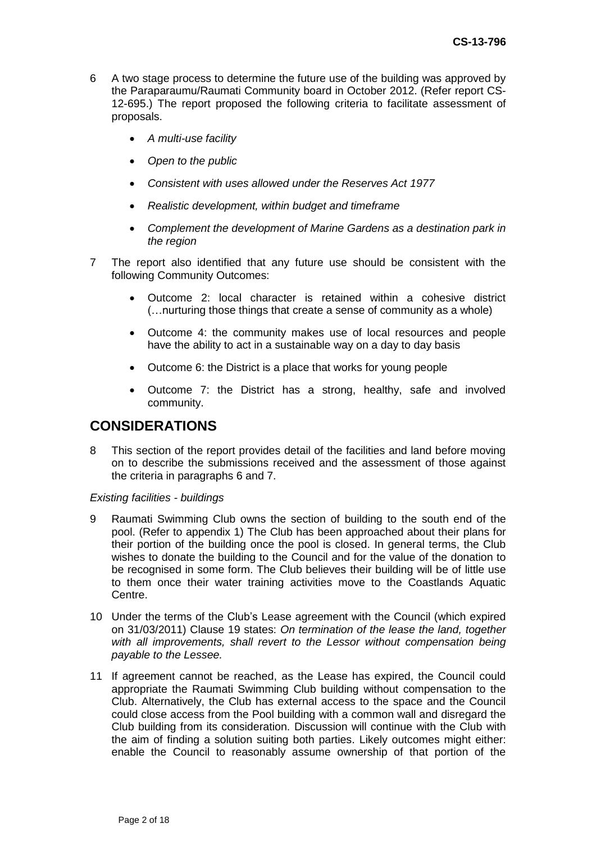- 6 A two stage process to determine the future use of the building was approved by the Paraparaumu/Raumati Community board in October 2012. (Refer report CS-12-695.) The report proposed the following criteria to facilitate assessment of proposals.
	- *A multi-use facility*
	- *Open to the public*
	- *Consistent with uses allowed under the Reserves Act 1977*
	- *Realistic development, within budget and timeframe*
	- *Complement the development of Marine Gardens as a destination park in the region*
- 7 The report also identified that any future use should be consistent with the following Community Outcomes:
	- Outcome 2: local character is retained within a cohesive district (…nurturing those things that create a sense of community as a whole)
	- Outcome 4: the community makes use of local resources and people have the ability to act in a sustainable way on a day to day basis
	- Outcome 6: the District is a place that works for young people
	- Outcome 7: the District has a strong, healthy, safe and involved community.

# **CONSIDERATIONS**

8 This section of the report provides detail of the facilities and land before moving on to describe the submissions received and the assessment of those against the criteria in paragraphs 6 and 7.

*Existing facilities - buildings*

- 9 Raumati Swimming Club owns the section of building to the south end of the pool. (Refer to appendix 1) The Club has been approached about their plans for their portion of the building once the pool is closed. In general terms, the Club wishes to donate the building to the Council and for the value of the donation to be recognised in some form. The Club believes their building will be of little use to them once their water training activities move to the Coastlands Aquatic Centre.
- 10 Under the terms of the Club's Lease agreement with the Council (which expired on 31/03/2011) Clause 19 states: *On termination of the lease the land, together with all improvements, shall revert to the Lessor without compensation being payable to the Lessee.*
- 11 If agreement cannot be reached, as the Lease has expired, the Council could appropriate the Raumati Swimming Club building without compensation to the Club. Alternatively, the Club has external access to the space and the Council could close access from the Pool building with a common wall and disregard the Club building from its consideration. Discussion will continue with the Club with the aim of finding a solution suiting both parties. Likely outcomes might either: enable the Council to reasonably assume ownership of that portion of the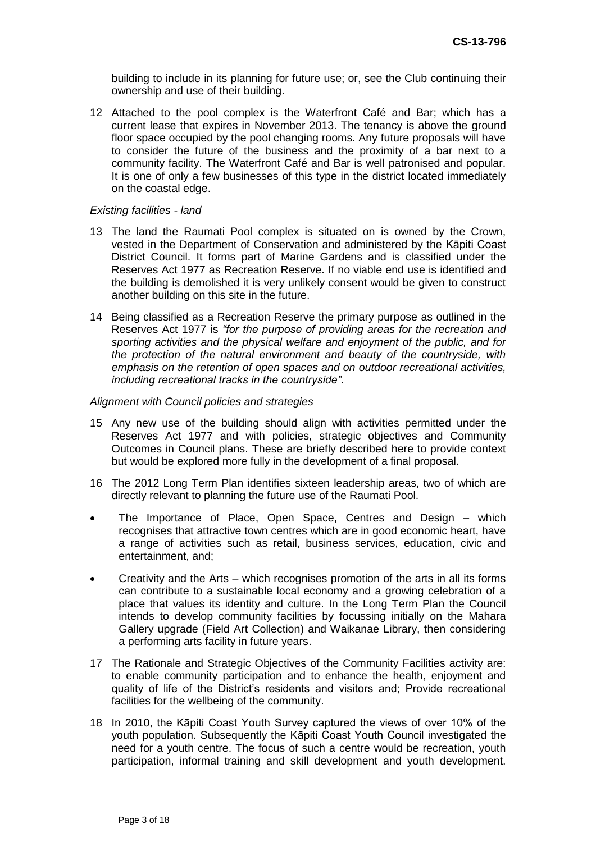building to include in its planning for future use; or, see the Club continuing their ownership and use of their building.

12 Attached to the pool complex is the Waterfront Café and Bar; which has a current lease that expires in November 2013. The tenancy is above the ground floor space occupied by the pool changing rooms. Any future proposals will have to consider the future of the business and the proximity of a bar next to a community facility. The Waterfront Café and Bar is well patronised and popular. It is one of only a few businesses of this type in the district located immediately on the coastal edge.

### *Existing facilities - land*

- 13 The land the Raumati Pool complex is situated on is owned by the Crown, vested in the Department of Conservation and administered by the Kāpiti Coast District Council. It forms part of Marine Gardens and is classified under the Reserves Act 1977 as Recreation Reserve. If no viable end use is identified and the building is demolished it is very unlikely consent would be given to construct another building on this site in the future.
- 14 Being classified as a Recreation Reserve the primary purpose as outlined in the Reserves Act 1977 is *"for the purpose of providing areas for the recreation and sporting activities and the physical welfare and enjoyment of the public, and for the protection of the natural environment and beauty of the countryside, with emphasis on the retention of open spaces and on outdoor recreational activities, including recreational tracks in the countryside"*.

### *Alignment with Council policies and strategies*

- 15 Any new use of the building should align with activities permitted under the Reserves Act 1977 and with policies, strategic objectives and Community Outcomes in Council plans. These are briefly described here to provide context but would be explored more fully in the development of a final proposal.
- 16 The 2012 Long Term Plan identifies sixteen leadership areas, two of which are directly relevant to planning the future use of the Raumati Pool.
- The Importance of Place, Open Space, Centres and Design which recognises that attractive town centres which are in good economic heart, have a range of activities such as retail, business services, education, civic and entertainment, and;
- Creativity and the Arts which recognises promotion of the arts in all its forms can contribute to a sustainable local economy and a growing celebration of a place that values its identity and culture. In the Long Term Plan the Council intends to develop community facilities by focussing initially on the Mahara Gallery upgrade (Field Art Collection) and Waikanae Library, then considering a performing arts facility in future years.
- 17 The Rationale and Strategic Objectives of the Community Facilities activity are: to enable community participation and to enhance the health, enjoyment and quality of life of the District's residents and visitors and; Provide recreational facilities for the wellbeing of the community.
- 18 In 2010, the Kāpiti Coast Youth Survey captured the views of over 10% of the youth population. Subsequently the Kāpiti Coast Youth Council investigated the need for a youth centre. The focus of such a centre would be recreation, youth participation, informal training and skill development and youth development.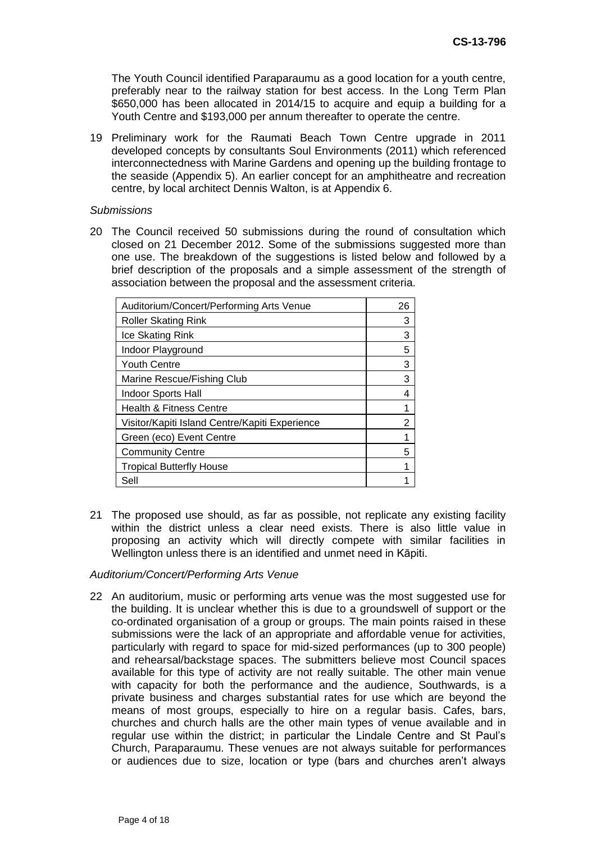The Youth Council identified Paraparaumu as a good location for a youth centre, preferably near to the railway station for best access. In the Long Term Plan \$650,000 has been allocated in 2014/15 to acquire and equip a building for a Youth Centre and \$193,000 per annum thereafter to operate the centre.

19 Preliminary work for the Raumati Beach Town Centre upgrade in 2011 developed concepts by consultants Soul Environments (2011) which referenced interconnectedness with Marine Gardens and opening up the building frontage to the seaside (Appendix 5). An earlier concept for an amphitheatre and recreation centre, by local architect Dennis Walton, is at Appendix 6.

### *Submissions*

20 The Council received 50 submissions during the round of consultation which closed on 21 December 2012. Some of the submissions suggested more than one use. The breakdown of the suggestions is listed below and followed by a brief description of the proposals and a simple assessment of the strength of association between the proposal and the assessment criteria.

| 26 |
|----|
| 3  |
| 3  |
| 5  |
| 3  |
| 3  |
| 4  |
|    |
| 2  |
|    |
| 5  |
|    |
|    |
|    |

21 The proposed use should, as far as possible, not replicate any existing facility within the district unless a clear need exists. There is also little value in proposing an activity which will directly compete with similar facilities in Wellington unless there is an identified and unmet need in Kāpiti.

## *Auditorium/Concert/Performing Arts Venue*

22 An auditorium, music or performing arts venue was the most suggested use for the building. It is unclear whether this is due to a groundswell of support or the co-ordinated organisation of a group or groups. The main points raised in these submissions were the lack of an appropriate and affordable venue for activities, particularly with regard to space for mid-sized performances (up to 300 people) and rehearsal/backstage spaces. The submitters believe most Council spaces available for this type of activity are not really suitable. The other main venue with capacity for both the performance and the audience, Southwards, is a private business and charges substantial rates for use which are beyond the means of most groups, especially to hire on a regular basis. Cafes, bars, churches and church halls are the other main types of venue available and in regular use within the district; in particular the Lindale Centre and St Paul's Church, Paraparaumu. These venues are not always suitable for performances or audiences due to size, location or type (bars and churches aren't always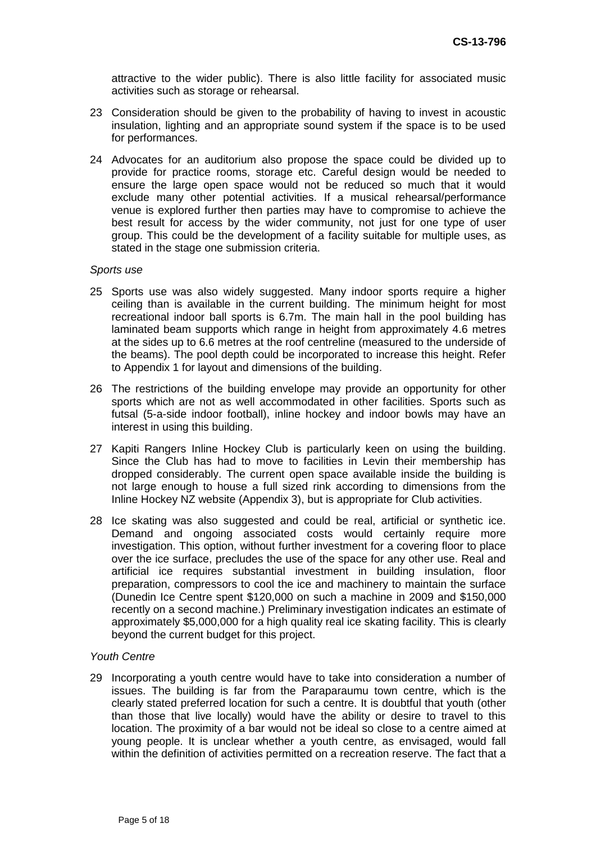attractive to the wider public). There is also little facility for associated music activities such as storage or rehearsal.

- 23 Consideration should be given to the probability of having to invest in acoustic insulation, lighting and an appropriate sound system if the space is to be used for performances.
- 24 Advocates for an auditorium also propose the space could be divided up to provide for practice rooms, storage etc. Careful design would be needed to ensure the large open space would not be reduced so much that it would exclude many other potential activities. If a musical rehearsal/performance venue is explored further then parties may have to compromise to achieve the best result for access by the wider community, not just for one type of user group. This could be the development of a facility suitable for multiple uses, as stated in the stage one submission criteria.

### *Sports use*

- 25 Sports use was also widely suggested. Many indoor sports require a higher ceiling than is available in the current building. The minimum height for most recreational indoor ball sports is 6.7m. The main hall in the pool building has laminated beam supports which range in height from approximately 4.6 metres at the sides up to 6.6 metres at the roof centreline (measured to the underside of the beams). The pool depth could be incorporated to increase this height. Refer to Appendix 1 for layout and dimensions of the building.
- 26 The restrictions of the building envelope may provide an opportunity for other sports which are not as well accommodated in other facilities. Sports such as futsal (5-a-side indoor football), inline hockey and indoor bowls may have an interest in using this building.
- 27 Kapiti Rangers Inline Hockey Club is particularly keen on using the building. Since the Club has had to move to facilities in Levin their membership has dropped considerably. The current open space available inside the building is not large enough to house a full sized rink according to dimensions from the Inline Hockey NZ website (Appendix 3), but is appropriate for Club activities.
- 28 Ice skating was also suggested and could be real, artificial or synthetic ice. Demand and ongoing associated costs would certainly require more investigation. This option, without further investment for a covering floor to place over the ice surface, precludes the use of the space for any other use. Real and artificial ice requires substantial investment in building insulation, floor preparation, compressors to cool the ice and machinery to maintain the surface (Dunedin Ice Centre spent \$120,000 on such a machine in 2009 and \$150,000 recently on a second machine.) Preliminary investigation indicates an estimate of approximately \$5,000,000 for a high quality real ice skating facility. This is clearly beyond the current budget for this project.

## *Youth Centre*

29 Incorporating a youth centre would have to take into consideration a number of issues. The building is far from the Paraparaumu town centre, which is the clearly stated preferred location for such a centre. It is doubtful that youth (other than those that live locally) would have the ability or desire to travel to this location. The proximity of a bar would not be ideal so close to a centre aimed at young people. It is unclear whether a youth centre, as envisaged, would fall within the definition of activities permitted on a recreation reserve. The fact that a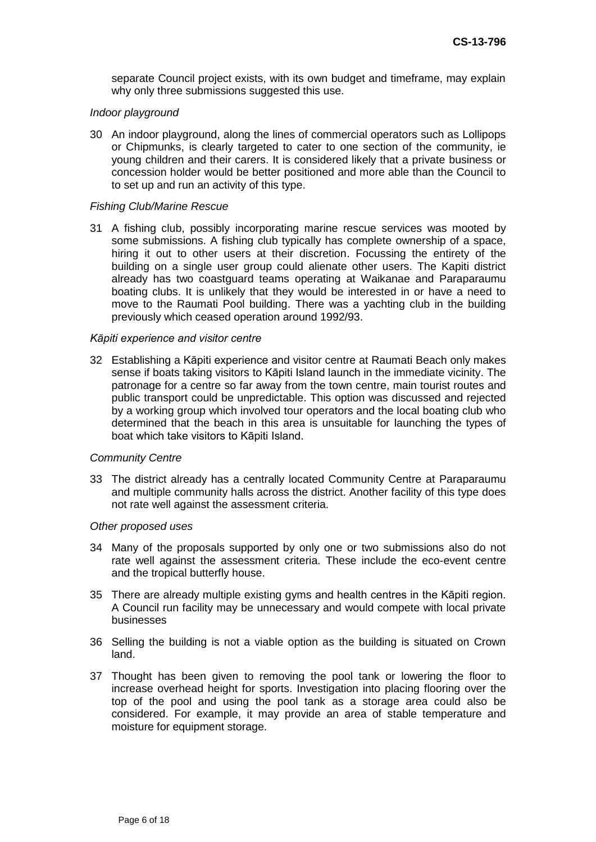separate Council project exists, with its own budget and timeframe, may explain why only three submissions suggested this use.

### *Indoor playground*

30 An indoor playground, along the lines of commercial operators such as Lollipops or Chipmunks, is clearly targeted to cater to one section of the community, ie young children and their carers. It is considered likely that a private business or concession holder would be better positioned and more able than the Council to to set up and run an activity of this type.

### *Fishing Club/Marine Rescue*

31 A fishing club, possibly incorporating marine rescue services was mooted by some submissions. A fishing club typically has complete ownership of a space, hiring it out to other users at their discretion. Focussing the entirety of the building on a single user group could alienate other users. The Kapiti district already has two coastguard teams operating at Waikanae and Paraparaumu boating clubs. It is unlikely that they would be interested in or have a need to move to the Raumati Pool building. There was a yachting club in the building previously which ceased operation around 1992/93.

### *Kāpiti experience and visitor centre*

32 Establishing a Kāpiti experience and visitor centre at Raumati Beach only makes sense if boats taking visitors to Kāpiti Island launch in the immediate vicinity. The patronage for a centre so far away from the town centre, main tourist routes and public transport could be unpredictable. This option was discussed and rejected by a working group which involved tour operators and the local boating club who determined that the beach in this area is unsuitable for launching the types of boat which take visitors to Kāpiti Island.

#### *Community Centre*

33 The district already has a centrally located Community Centre at Paraparaumu and multiple community halls across the district. Another facility of this type does not rate well against the assessment criteria.

#### *Other proposed uses*

- 34 Many of the proposals supported by only one or two submissions also do not rate well against the assessment criteria. These include the eco-event centre and the tropical butterfly house.
- 35 There are already multiple existing gyms and health centres in the Kāpiti region. A Council run facility may be unnecessary and would compete with local private businesses
- 36 Selling the building is not a viable option as the building is situated on Crown land.
- 37 Thought has been given to removing the pool tank or lowering the floor to increase overhead height for sports. Investigation into placing flooring over the top of the pool and using the pool tank as a storage area could also be considered. For example, it may provide an area of stable temperature and moisture for equipment storage.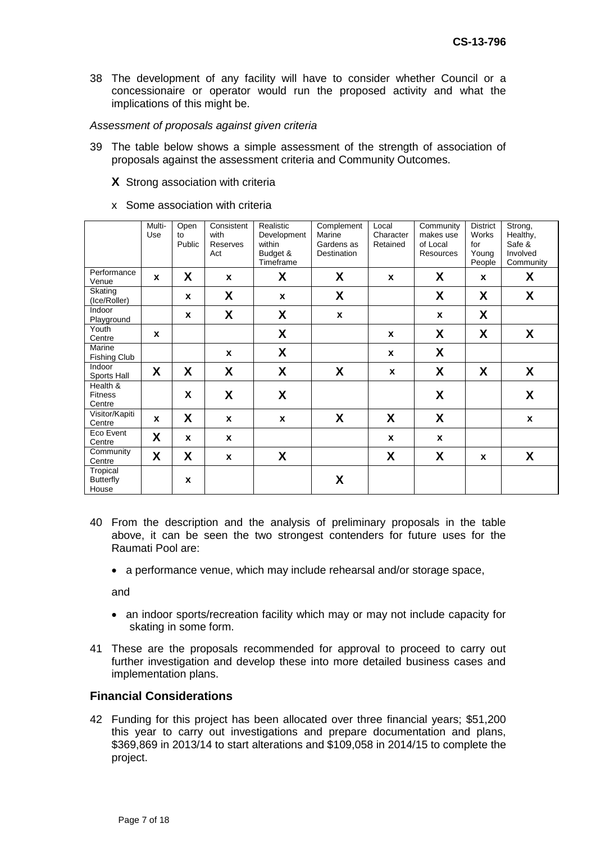38 The development of any facility will have to consider whether Council or a concessionaire or operator would run the proposed activity and what the implications of this might be.

## *Assessment of proposals against given criteria*

- 39 The table below shows a simple assessment of the strength of association of proposals against the assessment criteria and Community Outcomes.
	- **X** Strong association with criteria

|                  | Multi-       | Open         | Consistent   | Realistic        | Complement         | Local        | Community    | <b>District</b> | Strong,      |
|------------------|--------------|--------------|--------------|------------------|--------------------|--------------|--------------|-----------------|--------------|
|                  | Use          | to           | with         | Development      | Marine             | Character    | makes use    | Works           | Healthy,     |
|                  |              | Public       | Reserves     | within           | Gardens as         | Retained     | of Local     | for             | Safe &       |
|                  |              |              | Act          | Budget &         | Destination        |              | Resources    | Young           | Involved     |
|                  |              |              |              | Timeframe        |                    |              |              | People          | Community    |
| Performance      |              |              |              |                  |                    |              |              |                 |              |
| Venue            | $\mathbf{x}$ | X            | $\mathbf{x}$ | X                | X                  | X            | X            | $\mathbf{x}$    | X            |
| Skating          |              |              |              |                  |                    |              |              |                 |              |
| (Ice/Roller)     |              | X            | X            | $\boldsymbol{x}$ | X                  |              | X            | X               | X            |
| Indoor           |              | $\mathbf{x}$ | X            | X                | $\pmb{\mathsf{x}}$ |              | $\mathbf{x}$ | X               |              |
| Playground       |              |              |              |                  |                    |              |              |                 |              |
| Youth            | $\mathbf{x}$ |              |              | X                |                    | X            | X            | X               | X            |
| Centre           |              |              |              |                  |                    |              |              |                 |              |
| Marine           |              |              | X            | X                |                    | X            | X            |                 |              |
| Fishing Club     |              |              |              |                  |                    |              |              |                 |              |
| Indoor           | X            | X            | X            | X                | X                  | $\mathbf{x}$ | X            | X               | X            |
| Sports Hall      |              |              |              |                  |                    |              |              |                 |              |
| Health &         |              |              |              |                  |                    |              |              |                 |              |
| <b>Fitness</b>   |              | X            | X            | X                |                    |              | X            |                 | X            |
| Centre           |              |              |              |                  |                    |              |              |                 |              |
| Visitor/Kapiti   | X            | X            | X            | X                | X                  | X            | X            |                 | $\mathbf{x}$ |
| Centre           |              |              |              |                  |                    |              |              |                 |              |
| Eco Event        | X            | $\mathbf{x}$ | X            |                  |                    | X            | X            |                 |              |
| Centre           |              |              |              |                  |                    |              |              |                 |              |
| Community        | X            | X            |              | $\boldsymbol{X}$ |                    | X            | X            |                 | X            |
| Centre           |              |              | X            |                  |                    |              |              | X               |              |
| Tropical         |              |              |              |                  |                    |              |              |                 |              |
| <b>Butterfly</b> |              | X            |              |                  | X                  |              |              |                 |              |
| House            |              |              |              |                  |                    |              |              |                 |              |

x Some association with criteria

- 40 From the description and the analysis of preliminary proposals in the table above, it can be seen the two strongest contenders for future uses for the Raumati Pool are:
	- a performance venue, which may include rehearsal and/or storage space,

and

- an indoor sports/recreation facility which may or may not include capacity for skating in some form.
- 41 These are the proposals recommended for approval to proceed to carry out further investigation and develop these into more detailed business cases and implementation plans.

# **Financial Considerations**

42 Funding for this project has been allocated over three financial years; \$51,200 this year to carry out investigations and prepare documentation and plans, \$369,869 in 2013/14 to start alterations and \$109,058 in 2014/15 to complete the project.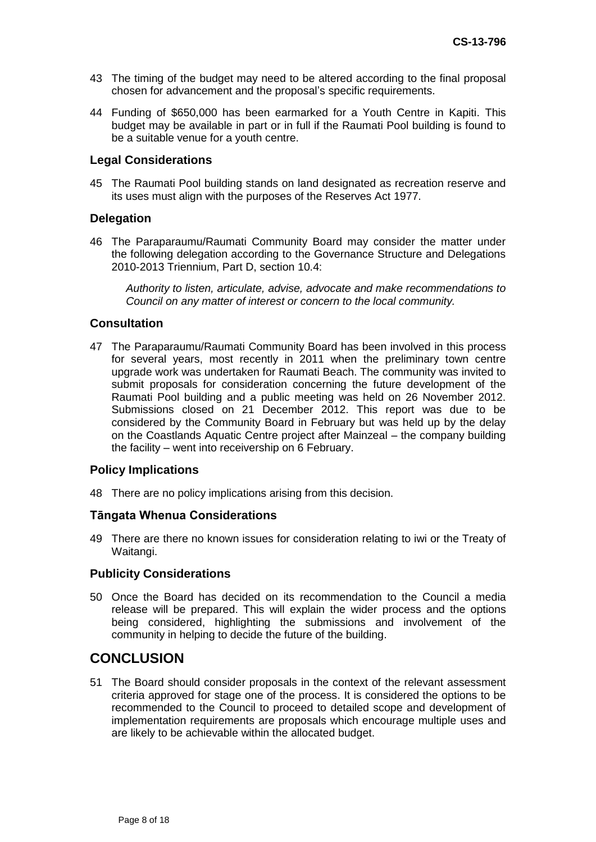- 43 The timing of the budget may need to be altered according to the final proposal chosen for advancement and the proposal's specific requirements.
- 44 Funding of \$650,000 has been earmarked for a Youth Centre in Kapiti. This budget may be available in part or in full if the Raumati Pool building is found to be a suitable venue for a youth centre.

# **Legal Considerations**

45 The Raumati Pool building stands on land designated as recreation reserve and its uses must align with the purposes of the Reserves Act 1977.

## **Delegation**

46 The Paraparaumu/Raumati Community Board may consider the matter under the following delegation according to the Governance Structure and Delegations 2010-2013 Triennium, Part D, section 10.4:

*Authority to listen, articulate, advise, advocate and make recommendations to Council on any matter of interest or concern to the local community.*

## **Consultation**

47 The Paraparaumu/Raumati Community Board has been involved in this process for several years, most recently in 2011 when the preliminary town centre upgrade work was undertaken for Raumati Beach. The community was invited to submit proposals for consideration concerning the future development of the Raumati Pool building and a public meeting was held on 26 November 2012. Submissions closed on 21 December 2012. This report was due to be considered by the Community Board in February but was held up by the delay on the Coastlands Aquatic Centre project after Mainzeal – the company building the facility – went into receivership on 6 February.

## **Policy Implications**

48 There are no policy implications arising from this decision.

## **Tāngata Whenua Considerations**

49 There are there no known issues for consideration relating to iwi or the Treaty of Waitangi.

## **Publicity Considerations**

50 Once the Board has decided on its recommendation to the Council a media release will be prepared. This will explain the wider process and the options being considered, highlighting the submissions and involvement of the community in helping to decide the future of the building.

# **CONCLUSION**

51 The Board should consider proposals in the context of the relevant assessment criteria approved for stage one of the process. It is considered the options to be recommended to the Council to proceed to detailed scope and development of implementation requirements are proposals which encourage multiple uses and are likely to be achievable within the allocated budget.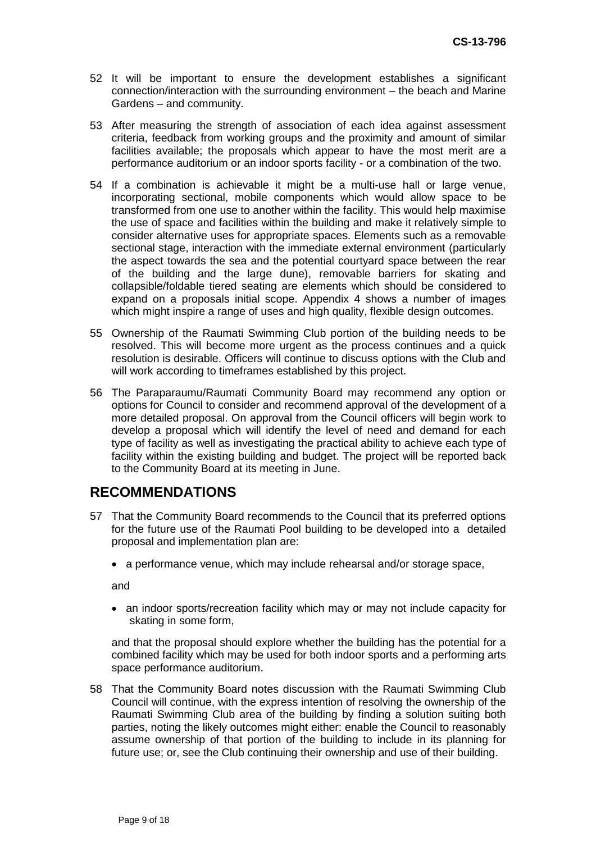- 52 It will be important to ensure the development establishes a significant connection/interaction with the surrounding environment – the beach and Marine Gardens – and community.
- 53 After measuring the strength of association of each idea against assessment criteria, feedback from working groups and the proximity and amount of similar facilities available; the proposals which appear to have the most merit are a performance auditorium or an indoor sports facility - or a combination of the two.
- 54 If a combination is achievable it might be a multi-use hall or large venue, incorporating sectional, mobile components which would allow space to be transformed from one use to another within the facility. This would help maximise the use of space and facilities within the building and make it relatively simple to consider alternative uses for appropriate spaces. Elements such as a removable sectional stage, interaction with the immediate external environment (particularly the aspect towards the sea and the potential courtyard space between the rear of the building and the large dune), removable barriers for skating and collapsible/foldable tiered seating are elements which should be considered to expand on a proposals initial scope. Appendix 4 shows a number of images which might inspire a range of uses and high quality, flexible design outcomes.
- 55 Ownership of the Raumati Swimming Club portion of the building needs to be resolved. This will become more urgent as the process continues and a quick resolution is desirable. Officers will continue to discuss options with the Club and will work according to timeframes established by this project.
- 56 The Paraparaumu/Raumati Community Board may recommend any option or options for Council to consider and recommend approval of the development of a more detailed proposal. On approval from the Council officers will begin work to develop a proposal which will identify the level of need and demand for each type of facility as well as investigating the practical ability to achieve each type of facility within the existing building and budget. The project will be reported back to the Community Board at its meeting in June.

# **RECOMMENDATIONS**

- 57 That the Community Board recommends to the Council that its preferred options for the future use of the Raumati Pool building to be developed into a detailed proposal and implementation plan are:
	- a performance venue, which may include rehearsal and/or storage space,

and

• an indoor sports/recreation facility which may or may not include capacity for skating in some form,

and that the proposal should explore whether the building has the potential for a combined facility which may be used for both indoor sports and a performing arts space performance auditorium.

58 That the Community Board notes discussion with the Raumati Swimming Club Council will continue, with the express intention of resolving the ownership of the Raumati Swimming Club area of the building by finding a solution suiting both parties, noting the likely outcomes might either: enable the Council to reasonably assume ownership of that portion of the building to include in its planning for future use; or, see the Club continuing their ownership and use of their building.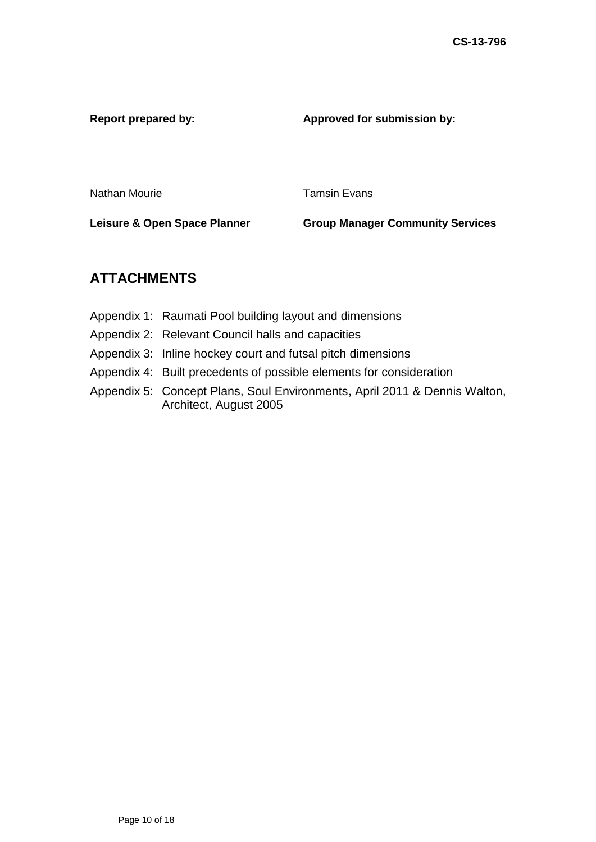| <b>Report prepared by:</b>   | Approved for submission by:             |
|------------------------------|-----------------------------------------|
| Nathan Mourie                | <b>Tamsin Evans</b>                     |
| Leisure & Open Space Planner | <b>Group Manager Community Services</b> |

# **ATTACHMENTS**

- Appendix 1: Raumati Pool building layout and dimensions
- Appendix 2: Relevant Council halls and capacities
- Appendix 3: Inline hockey court and futsal pitch dimensions
- Appendix 4: Built precedents of possible elements for consideration
- Appendix 5: Concept Plans, Soul Environments, April 2011 & Dennis Walton, Architect, August 2005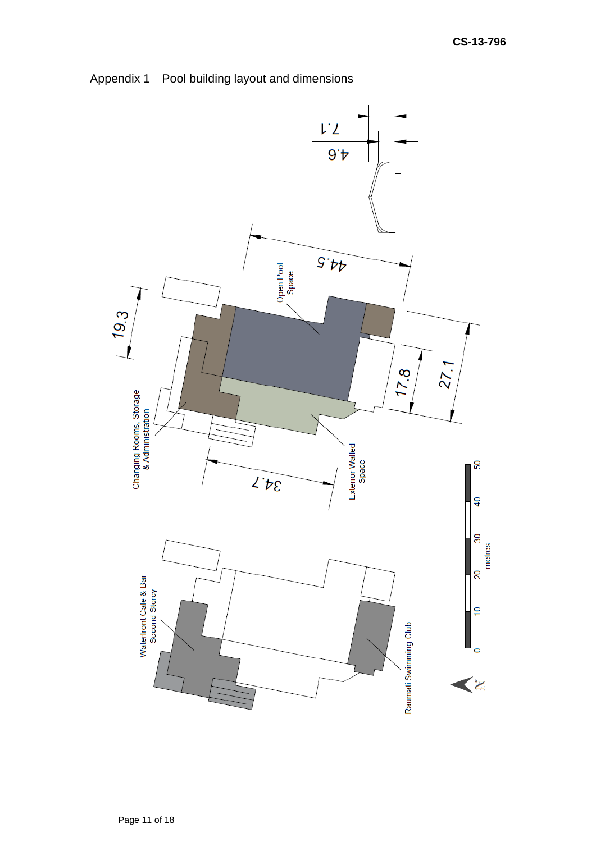

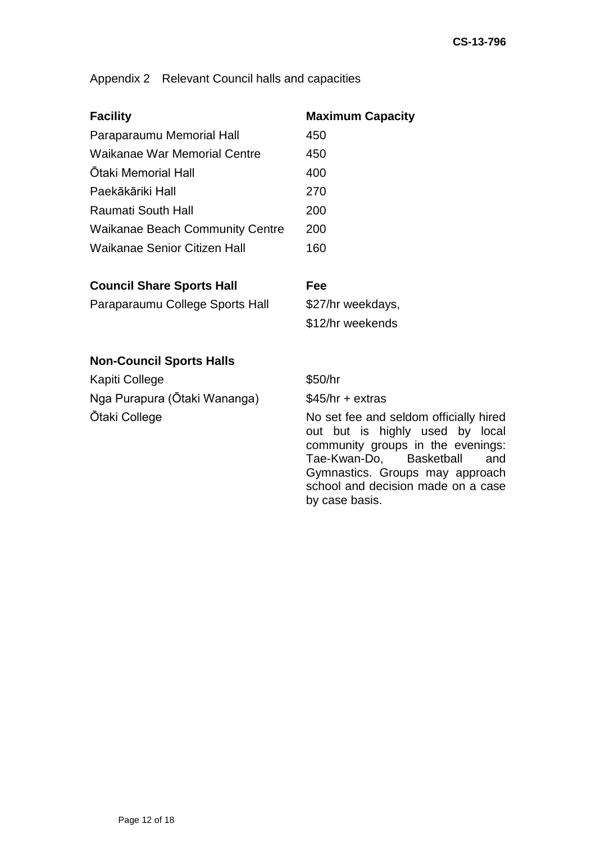Appendix 2 Relevant Council halls and capacities

| <b>Facility</b>                        | <b>Maximum Capacity</b> |
|----------------------------------------|-------------------------|
| Paraparaumu Memorial Hall              | 450                     |
| Waikanae War Memorial Centre           | 450                     |
| <b>Otaki Memorial Hall</b>             | 400                     |
| Paekākāriki Hall                       | 270                     |
| Raumati South Hall                     | 200                     |
| <b>Waikanae Beach Community Centre</b> | 200                     |
| Waikanae Senior Citizen Hall           | 160                     |

# **Council Share Sports Hall Fee**

Paraparaumu College Sports Hall \$27/hr weekdays,

\$12/hr weekends

**Non-Council Sports Halls**

Kapiti College **\$50/hr** Nga Purapura (Ōtaki Wananga) \$45/hr + extras

Ōtaki College No set fee and seldom officially hired out but is highly used by local community groups in the evenings: Tae-Kwan-Do, Basketball and Gymnastics. Groups may approach school and decision made on a case by case basis.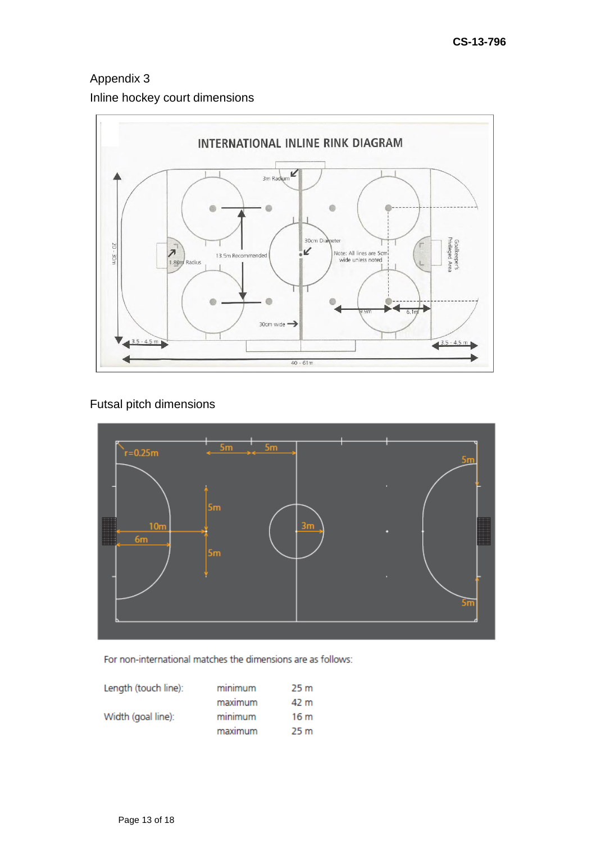Appendix 3 Inline hockey court dimensions



# Futsal pitch dimensions



For non-international matches the dimensions are as follows:

| Length (touch line): | minimum | 25 m |
|----------------------|---------|------|
|                      | maximum | 42 m |
| Width (goal line):   | minimum | 16 m |
|                      | maximum | 25 m |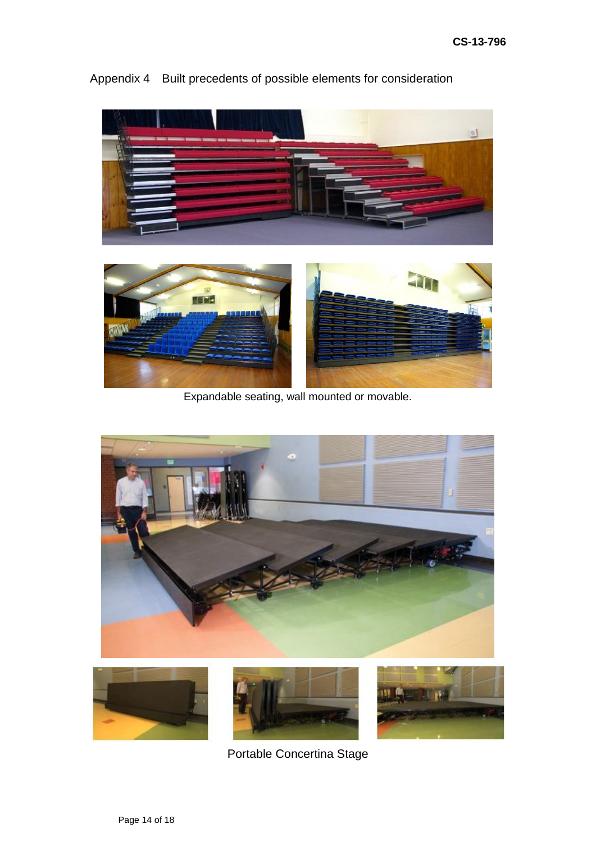

Appendix 4 Built precedents of possible elements for consideration

Expandable seating, wall mounted or movable.









Portable Concertina Stage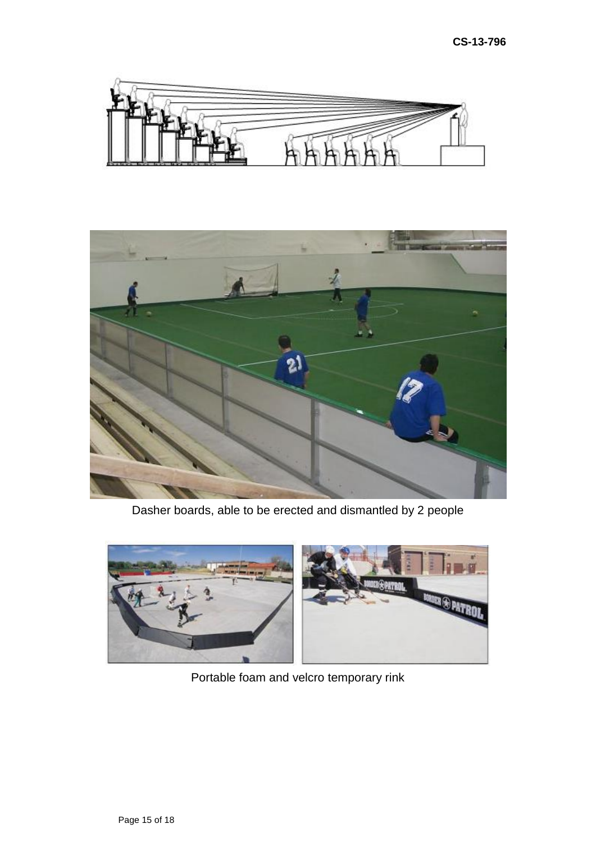



Dasher boards, able to be erected and dismantled by 2 people



Portable foam and velcro temporary rink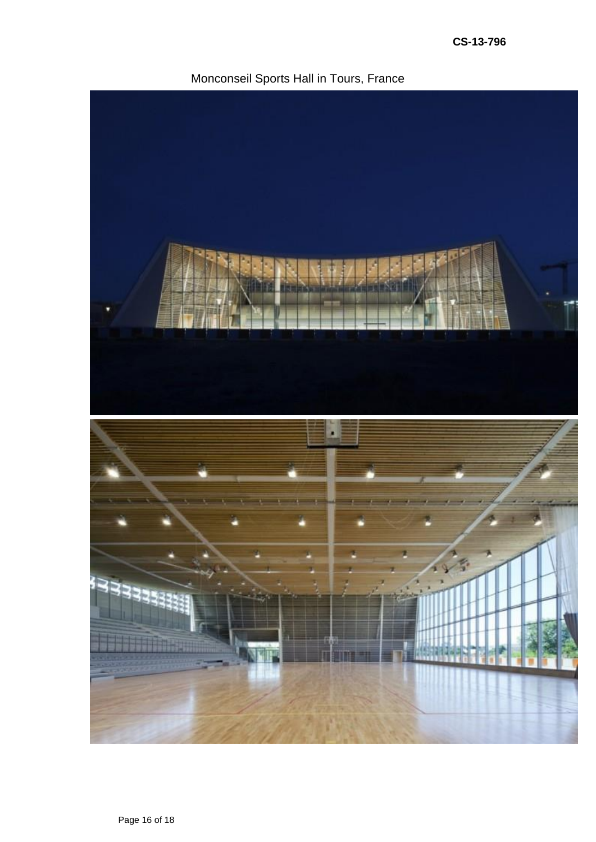

Monconseil Sports Hall in Tours, France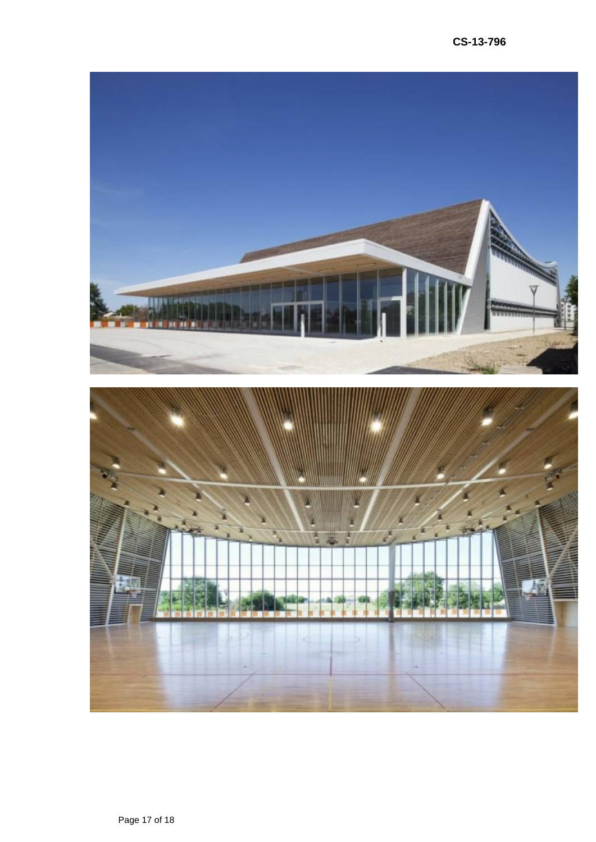